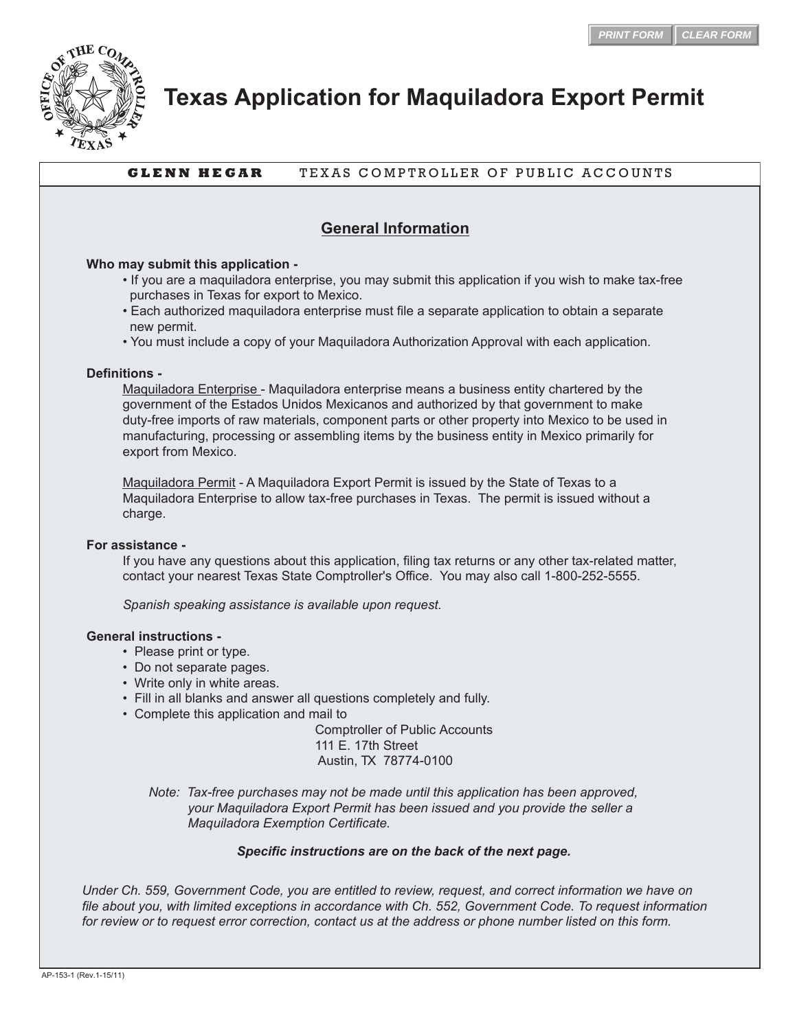

# **Texas Application for Maquiladora Export Permit**

## **GLENN HEGAR** TEXAS COMPTROLLER OF PUBLIC ACCOUNTS

## **General Information**

#### **Who may submit this application -**

- If you are a maquiladora enterprise, you may submit this application if you wish to make tax-free purchases in Texas for export to Mexico.
- Each authorized maquiladora enterprise must file a separate application to obtain a separate new permit.
- You must include a copy of your Maquiladora Authorization Approval with each application.

#### **Definitions -**

 Maquiladora Enterprise - Maquiladora enterprise means a business entity chartered by the government of the Estados Unidos Mexicanos and authorized by that government to make duty-free imports of raw materials, component parts or other property into Mexico to be used in manufacturing, processing or assembling items by the business entity in Mexico primarily for export from Mexico.

 Maquiladora Permit - A Maquiladora Export Permit is issued by the State of Texas to a Maquiladora Enterprise to allow tax-free purchases in Texas. The permit is issued without a charge.

#### **For assistance -**

 If you have any questions about this application, filing tax returns or any other tax-related matter, contact your nearest Texas State Comptroller's Office. You may also call 1-800-252-5555.

 *Spanish speaking assistance is available upon request.*

#### **General instructions -**

- Please print or type.
- Do not separate pages.
- Write only in white areas.
- Fill in all blanks and answer all questions completely and fully.
- Complete this application and mail to

 Comptroller of Public Accounts 111 E. 17th Street Austin, TX 78774-0100

 *Note: Tax-free purchases may not be made until this application has been approved, your Maquiladora Export Permit has been issued and you provide the seller a Maquiladora Exemption Certificate.*

### *Specific instructions are on the back of the next page.*

*Under Ch. 559, Government Code, you are entitled to review, request, and correct information we have on file about you, with limited exceptions in accordance with Ch. 552, Government Code. To request information for review or to request error correction, contact us at the address or phone number listed on this form.*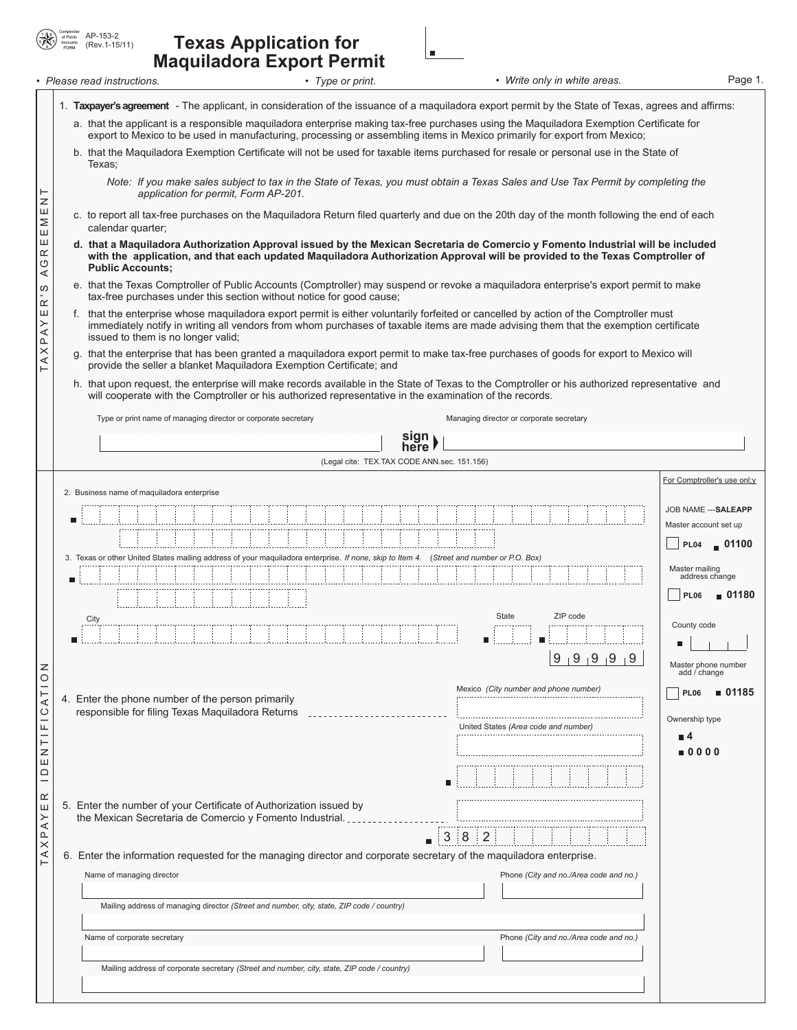| Comptroller<br>$\circledast$<br>of Public<br>Accounts | AP-153-2<br>(Rev. 1-15/1 |
|-------------------------------------------------------|--------------------------|
|-------------------------------------------------------|--------------------------|

## (Rev.1-15/11) **Texas Application for Maquiladora Export Permit**

| Please read instructions. | Type or print. | Write only in white areas. | Page 1. |
|---------------------------|----------------|----------------------------|---------|

|                         | 1. Taxpayer's agreement - The applicant, in consideration of the issuance of a maquiladora export permit by the State of Texas, agrees and affirms:                                                                                                                         |                                               |  |  |  |  |
|-------------------------|-----------------------------------------------------------------------------------------------------------------------------------------------------------------------------------------------------------------------------------------------------------------------------|-----------------------------------------------|--|--|--|--|
|                         | a. that the applicant is a responsible maguiladora enterprise making tax-free purchases using the Maguiladora Exemption Certificate for                                                                                                                                     |                                               |  |  |  |  |
|                         | export to Mexico to be used in manufacturing, processing or assembling items in Mexico primarily for export from Mexico;<br>b. that the Maquiladora Exemption Certificate will not be used for taxable items purchased for resale or personal use in the State of<br>Texas: |                                               |  |  |  |  |
| ⊢                       | Note: If you make sales subject to tax in the State of Texas, you must obtain a Texas Sales and Use Tax Permit by completing the<br>application for permit, Form AP-201.                                                                                                    |                                               |  |  |  |  |
| z<br>Ш<br>Σ             | c. to report all tax-free purchases on the Maquiladora Return filed quarterly and due on the 20th day of the month following the end of each<br>calendar quarter;                                                                                                           |                                               |  |  |  |  |
| Ш<br>Ш<br>$\simeq$<br>O | d. that a Maquiladora Authorization Approval issued by the Mexican Secretaria de Comercio y Fomento Industrial will be included<br>with the application, and that each updated Maquiladora Authorization Approval will be provided to the Texas Comptroller of              |                                               |  |  |  |  |
| ⋖<br>S                  | <b>Public Accounts:</b><br>e. that the Texas Comptroller of Public Accounts (Comptroller) may suspend or revoke a maquiladora enterprise's export permit to make                                                                                                            |                                               |  |  |  |  |
| $\simeq$<br>Ш           | tax-free purchases under this section without notice for good cause;<br>that the enterprise whose maquiladora export permit is either voluntarily forfeited or cancelled by action of the Comptroller must                                                                  |                                               |  |  |  |  |
| PAY                     | immediately notify in writing all vendors from whom purchases of taxable items are made advising them that the exemption certificate<br>issued to them is no longer valid;                                                                                                  |                                               |  |  |  |  |
| TAX                     | g. that the enterprise that has been granted a maquiladora export permit to make tax-free purchases of goods for export to Mexico will<br>provide the seller a blanket Maquiladora Exemption Certificate; and                                                               |                                               |  |  |  |  |
|                         | h. that upon request, the enterprise will make records available in the State of Texas to the Comptroller or his authorized representative and<br>will cooperate with the Comptroller or his authorized representative in the examination of the records.                   |                                               |  |  |  |  |
|                         | Type or print name of managing director or corporate secretary<br>Managing director or corporate secretary                                                                                                                                                                  |                                               |  |  |  |  |
|                         | sıgn<br>here                                                                                                                                                                                                                                                                |                                               |  |  |  |  |
|                         | (Legal cite: TEX.TAX CODE ANN.sec. 151.156)                                                                                                                                                                                                                                 |                                               |  |  |  |  |
|                         | 2. Business name of maquiladora enterprise                                                                                                                                                                                                                                  | For Comptroller's use onl;y                   |  |  |  |  |
|                         |                                                                                                                                                                                                                                                                             | JOB NAME --- SALEAPP<br>Master account set up |  |  |  |  |
|                         |                                                                                                                                                                                                                                                                             | $\blacksquare$ 01100<br><b>PL04</b>           |  |  |  |  |
|                         | 3. Texas or other United States mailing address of your maquiladora enterprise. If none, skip to Item 4. (Street and number or P.O. Box)                                                                                                                                    | Master mailing<br>address change              |  |  |  |  |
|                         | п                                                                                                                                                                                                                                                                           | ■ 01180<br><b>PL06</b>                        |  |  |  |  |
|                         | ZIP code<br>State<br>City                                                                                                                                                                                                                                                   | County code                                   |  |  |  |  |
|                         |                                                                                                                                                                                                                                                                             |                                               |  |  |  |  |
| z<br>$\circ$            | 9, 9, 9, 9, 9, 9                                                                                                                                                                                                                                                            | Master phone number<br>add / change           |  |  |  |  |
| ⊢<br>⋖                  | Mexico (City number and phone number)<br>4. Enter the phone number of the person primarily                                                                                                                                                                                  | ■ 01185<br><b>PL06</b>                        |  |  |  |  |
| $\circ$<br>щ            | responsible for filing Texas Maguiladora Returns<br>United States (Area code and number)                                                                                                                                                                                    | Ownership type<br>$\blacksquare$ 4            |  |  |  |  |
| ⊢<br>Z                  |                                                                                                                                                                                                                                                                             | $\blacksquare$ 0000                           |  |  |  |  |
| Ш<br>≏<br>۰             |                                                                                                                                                                                                                                                                             |                                               |  |  |  |  |
| $\alpha$<br>Ш           | 5. Enter the number of your Certificate of Authorization issued by                                                                                                                                                                                                          |                                               |  |  |  |  |
| ≻<br>⋖<br>$\Omega$      | the Mexican Secretaria de Comercio y Fomento Industrial.<br>$\mathbf{3}$<br>8 <sup>1</sup><br>$\overline{2}$                                                                                                                                                                |                                               |  |  |  |  |
| $\times$<br>⋖<br>⊢      | 6. Enter the information requested for the managing director and corporate secretary of the maquiladora enterprise.                                                                                                                                                         |                                               |  |  |  |  |
|                         | Name of managing director<br>Phone (City and no./Area code and no.)                                                                                                                                                                                                         |                                               |  |  |  |  |
|                         | Mailing address of managing director (Street and number, city, state, ZIP code / country)                                                                                                                                                                                   |                                               |  |  |  |  |
|                         | Name of corporate secretary<br>Phone (City and no./Area code and no.)                                                                                                                                                                                                       |                                               |  |  |  |  |
|                         | Mailing address of corporate secretary (Street and number, city, state, ZIP code / country)                                                                                                                                                                                 |                                               |  |  |  |  |
|                         |                                                                                                                                                                                                                                                                             |                                               |  |  |  |  |

Ŀ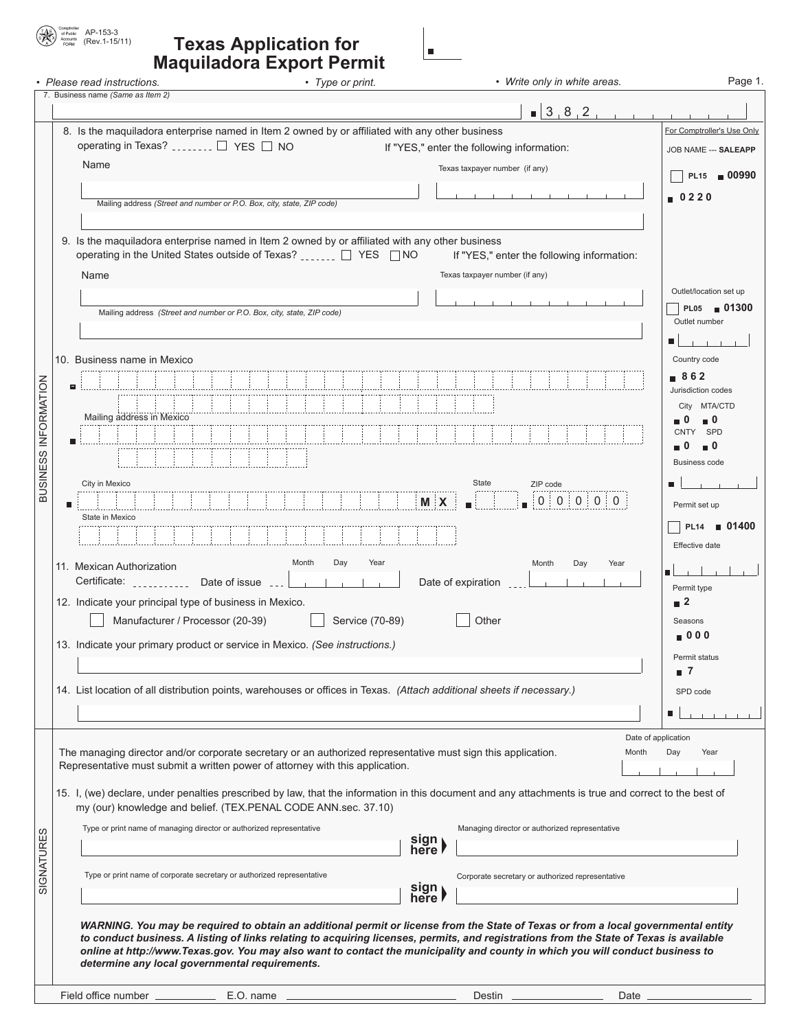#### AP-153-3 (Rev.1-15/11) **Texas Application for**   $\blacksquare$ **Maquiladora Export Permit**  • Please read instructions. **• Type or print.** • Type or print. • *Write only in white areas.*

( \*

|                                                                                                 | 7. Business name (Same as Item 2)                                                                                                                                                                                                                                         |                                             |  |  |  |
|-------------------------------------------------------------------------------------------------|---------------------------------------------------------------------------------------------------------------------------------------------------------------------------------------------------------------------------------------------------------------------------|---------------------------------------------|--|--|--|
|                                                                                                 | $\blacksquare$ 3 8 2<br>8. Is the maquiladora enterprise named in Item 2 owned by or affiliated with any other business                                                                                                                                                   | For Comptroller's Use Only                  |  |  |  |
|                                                                                                 | operating in Texas?  □ YES □ NO<br>If "YES," enter the following information:                                                                                                                                                                                             | JOB NAME --- SALEAPP                        |  |  |  |
|                                                                                                 | Name<br>Texas taxpayer number (if any)                                                                                                                                                                                                                                    |                                             |  |  |  |
|                                                                                                 |                                                                                                                                                                                                                                                                           | PL15 <b>■ 00990</b>                         |  |  |  |
|                                                                                                 | Mailing address (Street and number or P.O. Box, city, state, ZIP code)                                                                                                                                                                                                    | 0220                                        |  |  |  |
|                                                                                                 |                                                                                                                                                                                                                                                                           |                                             |  |  |  |
| 9. Is the maquiladora enterprise named in Item 2 owned by or affiliated with any other business |                                                                                                                                                                                                                                                                           |                                             |  |  |  |
|                                                                                                 | operating in the United States outside of Texas? ______ □ YES □ NO<br>If "YES," enter the following information:                                                                                                                                                          |                                             |  |  |  |
|                                                                                                 | Texas taxpayer number (if any)<br>Name                                                                                                                                                                                                                                    |                                             |  |  |  |
|                                                                                                 |                                                                                                                                                                                                                                                                           | Outlet/location set up<br>PL05 <b>01300</b> |  |  |  |
|                                                                                                 | Mailing address (Street and number or P.O. Box, city, state, ZIP code)                                                                                                                                                                                                    | Outlet number                               |  |  |  |
|                                                                                                 |                                                                                                                                                                                                                                                                           |                                             |  |  |  |
|                                                                                                 | 10. Business name in Mexico                                                                                                                                                                                                                                               | Country code                                |  |  |  |
|                                                                                                 |                                                                                                                                                                                                                                                                           | ∎862<br>Jurisdiction codes                  |  |  |  |
|                                                                                                 |                                                                                                                                                                                                                                                                           | City MTA/CTD                                |  |  |  |
|                                                                                                 | Mailing address in Mexico                                                                                                                                                                                                                                                 | ■ 0<br>0                                    |  |  |  |
|                                                                                                 |                                                                                                                                                                                                                                                                           | <b>SPD</b><br>CNTY<br>- 0                   |  |  |  |
|                                                                                                 |                                                                                                                                                                                                                                                                           | <b>Business code</b>                        |  |  |  |
| BUSINESS INFORMATION                                                                            | City in Mexico<br>State<br>ZIP code                                                                                                                                                                                                                                       |                                             |  |  |  |
|                                                                                                 | $0 \ 0 \ 0 \ 0$<br><b>MX</b>                                                                                                                                                                                                                                              | Permit set up                               |  |  |  |
|                                                                                                 | State in Mexico                                                                                                                                                                                                                                                           | PL14 <b>01400</b>                           |  |  |  |
|                                                                                                 |                                                                                                                                                                                                                                                                           | Effective date                              |  |  |  |
|                                                                                                 | Month<br>Day<br>Month<br>Day<br>Year<br>Year<br>11. Mexican Authorization                                                                                                                                                                                                 |                                             |  |  |  |
|                                                                                                 | Certificate: __________ Date of issue<br>Date of expiration<br>$\sim$ 1.                                                                                                                                                                                                  | Permit type                                 |  |  |  |
|                                                                                                 | 12. Indicate your principal type of business in Mexico.                                                                                                                                                                                                                   | $\blacksquare$ 2                            |  |  |  |
|                                                                                                 | Manufacturer / Processor (20-39)<br>Service (70-89)<br>Other                                                                                                                                                                                                              | Seasons                                     |  |  |  |
|                                                                                                 | 13. Indicate your primary product or service in Mexico. (See instructions.)                                                                                                                                                                                               | ■ 0 0 0                                     |  |  |  |
|                                                                                                 |                                                                                                                                                                                                                                                                           | Permit status<br>7                          |  |  |  |
|                                                                                                 | 14. List location of all distribution points, warehouses or offices in Texas. (Attach additional sheets if necessary.)                                                                                                                                                    |                                             |  |  |  |
|                                                                                                 |                                                                                                                                                                                                                                                                           | SPD code<br>ш                               |  |  |  |
|                                                                                                 |                                                                                                                                                                                                                                                                           |                                             |  |  |  |
|                                                                                                 | The managing director and/or corporate secretary or an authorized representative must sign this application.                                                                                                                                                              | Date of application<br>Month<br>Day<br>Year |  |  |  |
|                                                                                                 | Representative must submit a written power of attorney with this application.                                                                                                                                                                                             |                                             |  |  |  |
|                                                                                                 | 15. I, (we) declare, under penalties prescribed by law, that the information in this document and any attachments is true and correct to the best of                                                                                                                      |                                             |  |  |  |
|                                                                                                 | my (our) knowledge and belief. (TEX.PENAL CODE ANN.sec. 37.10)                                                                                                                                                                                                            |                                             |  |  |  |
| w                                                                                               | Type or print name of managing director or authorized representative<br>Managing director or authorized representative                                                                                                                                                    |                                             |  |  |  |
|                                                                                                 | sign<br>here l                                                                                                                                                                                                                                                            |                                             |  |  |  |
| SIGNATURE                                                                                       | Type or print name of corporate secretary or authorized representative                                                                                                                                                                                                    |                                             |  |  |  |
|                                                                                                 | Corporate secretary or authorized representative<br>sign ><br>here                                                                                                                                                                                                        |                                             |  |  |  |
|                                                                                                 |                                                                                                                                                                                                                                                                           |                                             |  |  |  |
|                                                                                                 | WARNING. You may be required to obtain an additional permit or license from the State of Texas or from a local governmental entity                                                                                                                                        |                                             |  |  |  |
|                                                                                                 | to conduct business. A listing of links relating to acquiring licenses, permits, and registrations from the State of Texas is available<br>online at http://www.Texas.gov. You may also want to contact the municipality and county in which you will conduct business to |                                             |  |  |  |
|                                                                                                 | determine any local governmental requirements.                                                                                                                                                                                                                            |                                             |  |  |  |
|                                                                                                 | Destin __                                                                                                                                                                                                                                                                 | Date $\equiv$                               |  |  |  |